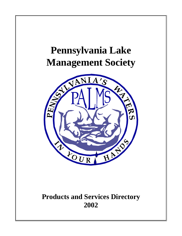# **Pennsylvania Lake Management Society**



# **Products and Services Directory 2002**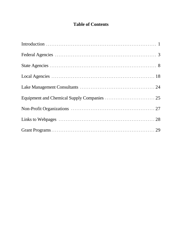# **Table of Contents**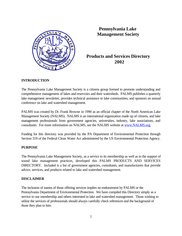

 **Pennsylvania Lake Management Society**

# **Products and Services Directory**

#### **INTRODUCTION**

The Pennsylvania Lake Management Society is a citizens group formed to promote understanding and comprehensive management of lakes and reservoirs and their watersheds. PALMS publishes a quarterly lake management newsletter, provides technical assistance to lake communities, and sponsors an annual conference on lake and watershed management.

PALMS was created by Dr. Frank Browne in 1990 as an official chapter of the North American Lake Management Society (NALMS). NALMS is an international organization made up of citizens, and lake management professionals from government agencies, universities, industry, lake associations, and consultants. For more information on NALMS, see the NALMS website at www.NALMS.org.

Funding for this directory was provided by the PA Department of Environmental Protection through Section 319 of the Federal Clean Water Act administered by the US Environmental Protection Agency.

#### **PURPOSE**

The Pennsylvania Lake Management Society, as a service to its membership as well as to the support of sound lake management practices, developed this PALMS PRODUCTS AND SERVICES DIRECTORY. Included is a list of government agencies, consultants, and manufacturers that provide advice, services, and products related to lake and watershed management.

#### **DISCLAIMER**

The inclusion of names of those offering services implies no endorsement by PALMS or the Pennsylvania Department of Environmental Protection. We have compiled this Directory simply as a service to our membership and others interested in lake and watershed management. Those wishing to utilize the services of professionals should always carefully check references and the background of those they plan to hire.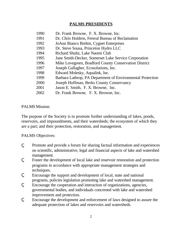# **PALMS PRESIDENTS**

| 1990 | Dr. Frank Browne, F. X. Browne, Inc.                       |
|------|------------------------------------------------------------|
| 1991 | Dr. Chris Holdren, Fereral Bureau of Reclamation           |
| 1992 | JoAnn Bianco Brehm, Cygnet Enterprises                     |
| 1993 | Dr. Steve Sousa, Princeton Hydro LLC                       |
| 1994 | Richard Shultz, Lake Naomi Club                            |
| 1995 | Jane Smith-Decker, Somerset Lake Service Corporation       |
| 1996 | Mike Lovegreen, Bradford County Conservation District      |
| 1997 | Joseph Gallagher, Ecosolutions, Inc.                       |
| 1998 | Edward Molesky, Aqualink, Inc.                             |
| 1999 | Barbara Lathrop, PA Department of Environmental Protection |
| 2000 | Joseph Hoffman, Berks County Conservancy                   |
| 2001 | Jason E. Smith, F. X. Browne, Inc.                         |
| 2002 | Dr. Frank Browne, F. X. Browne, Inc.                       |

### PALMS Mission:

The purpose of the Society is to promote further understanding of lakes, ponds, reservoirs, and impoundments, and their watersheds; the ecosystem of which they are a part; and their protection, restoration, and management.

### PALMS Objectives:

- ' Promote and provide a forum for sharing factual information and experiences on scientific, administrative, legal and financial aspects of lake and watershed management.
- ' Foster the development of local lake and reservoir restoration and protection programs in accordance with appropriate management strategies and techniques.
- Encourage the support and development of local, state and national programs, policies legislation promoting lake and watershed management.
- . Encourage the cooperation and interaction of organizations, agencies, governmental bodies, and individuals concerned with lake and watershed improvement and protection.
- . Encourage the development and enforcement of laws designed to assure the adequate protection of lakes and reservoirs and watersheds.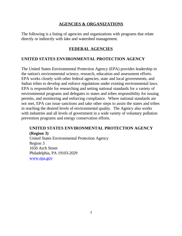## **AGENCIES & ORGANIZATIONS**

The following is a listing of agencies and organizations with programs that relate directly or indirectly with lake and watershed management.

# **FEDERAL AGENCIES**

# **UNITED STATES ENVIRONMENTAL PROTECTION AGENCY**

The United States Environmental Protection Agency (EPA) provides leadership in the nation's environmental science, research, education and assessment efforts. EPA works closely with other federal agencies, state and local governments, and Indian tribes to develop and enforce regulations under existing environmental laws. EPA is responsible for researching and setting national standards for a variety of environmental programs and delegates to states and tribes responsibility for issuing permits, and monitoring and enforcing compliance. Where national standards are not met, EPA can issue sanctions and take other steps to assist the states and tribes in reaching the desired levels of environmental quality. The Agency also works with industries and all levels of government in a wide variety of voluntary pollution prevention programs and energy conservation efforts.

# **UNITED STATES ENVIRONMENTAL PROTECTION AGENCY (Region 3)**

United States Environmental Protection Agency Region 3 1650 Arch Street Philadelphia, PA 19103-2029 www.epa.gov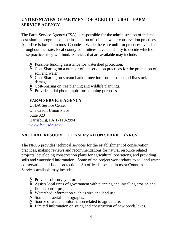# **UNITED STATES DEPARTMENT OF AGRICULTURAL - FARM SERVICE AGENCY**

The Farm Service Agency (FSA) is responsible for the administration of federal cost-sharing programs on the installation of soil and water conservation practices. An office is located in most Counties. While there are uniform practices available throughout the state, local county committees have the ability to decide which of these practices they will fund. Services that are available may include:

- $\epsilon$  Possible funding assistance for watershed protection.
- $\epsilon$  Cost-Sharing on a number of conservation practices for the protection of soil and water.
- $\epsilon$  Cost-Sharing on stream bank protection from erosion and livestock damage.
- $\epsilon$  Cost-Sharing on tree planting and wildlife plantings.
- $\epsilon$  Provide aerial photographs for planning purposes.

# **FARM SERVICE AGENCY**

USDA Service Center One Credit Union Place Suite 320 Harrisburg, PA 17110-2994 www.fsa.usda.gov

# **NATURAL RESOURCE CONSERVATION SERVICE (NRCS)**

The NRCS provides technical services for the establishment of conservation practices, making reviews and recommendations for natural resource related projects, developing conservation plans for agricultural operations, and providing soils and watershed information. Some of the project work relates to soil and water conservation and flood protection. An office is located in most Counties. Services available may include:

- $\epsilon$  Provide soil survey information.
- $\epsilon$  Assists local units of government with planning and installing erosion and flood control projects.
- $\epsilon$  Watershed information such as size and land use.
- $\epsilon$  Source of aerial photographs.
- $\epsilon$  Source of wetland information related to agriculture.
- $\epsilon$  Limited information on siting and construction of new ponds/lakes.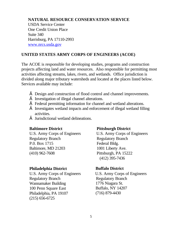## **NATURAL RESOURCE CONSERVATION SERVICE**

USDA Service Center One Credit Union Place Suite 340 Harrisburg, PA 17110-2993 www.nrcs.usda.gov

# **UNITED STATES ARMY CORPS OF ENGINEERS (ACOE)**

The ACOE is responsible for developing studies, programs and construction projects affecting land and water resources. Also responsible for permitting most activities affecting streams, lakes, rivers, and wetlands. Office jurisdiction is divided along major tributary watersheds and located at the places listed below. Services available may include:

- $\epsilon$  Design and construction of flood control and channel improvements.
- $\epsilon$  Investigation of illegal channel alterations.
- $\epsilon$  Federal permitting information for channel and wetland alterations.
- $\epsilon$  Investigates wetland impacts and enforcement of illegal wetland filling activities.
- $\epsilon$  Jurisdictional wetland delineations.

U.S. Army Corps of Engineers U.S. Army Corps of Engineers Regulatory Branch Regulatory Branch P.O. Box 1715 Federal Bldg. Baltimore, MD 21203 1001 Liberty Ave. (410) 962-7608 Pittsburgh, PA 15222

#### **Philadelphia District Buffalo District**

U.S. Army Corps of Engineers U.S. Army Corps of Engineers Regulatory Branch Regulatory Branch Wannamaker Building 1776 Niagara St. 100 Penn Square East Buffalo, NY 14207 Philadelphia, PA 19107 (716) 879-4430 (215) 656-6725

#### **Baltimore District Pittsburgh District**

(412) 395-7436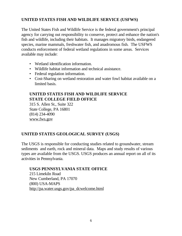# **UNITED STATES FISH AND WILDLIFE SERVICE (USFWS)**

The United States Fish and Wildlife Service is the federal government's principal agency for carrying out responsibility to conserve, protect and enhance the nation's fish and wildlife, including their habitats. It manages migratory birds, endangered species, marine mammals, freshwater fish, and anadromous fish. The USFWS conducts enforcement of federal wetland regulations in some areas. Services available may include:

- Wetland identification information.
- Wildlife habitat information and technical assistance.
- Federal regulation information.
- Cost-Sharing on wetland restoration and water fowl habitat available on a limited basis.

# **UNITED STATES FISH AND WILDLIFE SERVICE STATE COLLEGE FIELD OFFICE**

315 S. Allen St., Suite 322 State College, PA 16801 (814) 234-4090 www.fws.gov

# **UNITED STATES GEOLOGICAL SURVEY (USGS)**

The USGS is responsible for conducting studies related to groundwater, stream sediments and earth, rock and mineral data. Maps and study results of various types are available from the USGS. USGS produces an annual report on all of its activities in Pennsylvania.

### **USGS PENNSYLVANIA STATE OFFICE**

215 Limekiln Road New Cumberland, PA 17070 (800) USA-MAPS http://pa.water.usgs.gov/pa\_dcwelcome.html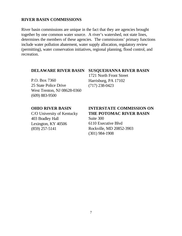#### **RIVER BASIN COMMISSIONS**

River basin commissions are unique in the fact that they are agencies brought together by one common water source. A river's watershed, not state lines, determines the members of these agencies. The commissions' primary functions include water pollution abatement, water supply allocation, regulatory review (permitting), water conservation initiatives, regional planning, flood control, and recreation.

#### **DELAWARE RIVER BASIN**

P.O. Box 7360 25 State Police Drive West Trenton, NJ 08628-0360 (609) 883-9500

**SUSQUEHANNA RIVER BASIN** 

1721 North Front Street Harrisburg, PA 17102 (717) 238-0423

#### **OHIO RIVER BASIN**

C/O University of Kentucky 403 Bradley Hall Lexington, KY 40506 (859) 257-5141

# **INTERSTATE COMMISSION ON THE POTOMAC RIVER BASIN**

Suite 300 6110 Executive Blvd Rockville, MD 20852-3903 (301) 984-1908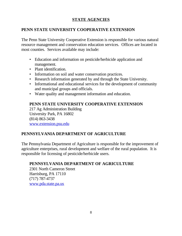# **STATE AGENCIES**

# **PENN STATE UNIVERSITY COOPERATIVE EXTENSION**

The Penn State University Cooperative Extension is responsible for various natural resource management and conservation education services. Offices are located in most counties. Services available may include:

- Education and information on pesticide/herbicide application and management.
- Plant identification.
- Information on soil and water conservation practices.
- Research information generated by and through the State University.
- Informational and educational services for the development of community and municipal groups and officials.
- Water quality and management information and education.

# **PENN STATE UNIVERSITY COOPERATIVE EXTENSION**

217 Ag Administration Building University Park, PA 16802 (814) 863-3438 www.extension.psu.edu

# **PENNSYLVANIA DEPARTMENT OF AGRICULTURE**

The Pennsylvania Department of Agriculture is responsible for the improvement of agriculture enterprises, rural development and welfare of the rural population. It is responsible for licensing of pesticide/herbicide users.

# **PENNSYLVANIA DEPARTMENT OF AGRICULTURE**

2301 North Cameron Street Harrisburg, PA 17110 (717) 787-4737 www.pda.state.pa.us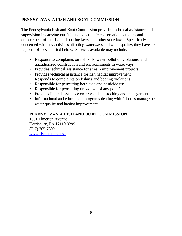# **PENNSYLVANIA FISH AND BOAT COMMISSION**

The Pennsylvania Fish and Boat Commission provides technical assistance and supervision in carrying out fish and aquatic life conservation activities and enforcement of the fish and boating laws, and other state laws. Specifically concerned with any activities affecting waterways and water quality, they have six regional offices as listed below. Services available may include:

- Response to complaints on fish kills, water pollution violations, and unauthorized construction and encroachments in waterways.
- Provides technical assistance for stream improvement projects.
- Provides technical assistance for fish habitat improvement.
- Responds to complaints on fishing and boating violations.
- Responsible for permitting herbicide and pesticide use.
- Responsible for permitting drawdown of any pond/lake.
- Provides limited assistance on private lake stocking and management.
- Informational and educational programs dealing with fisheries management, water quality and habitat improvement.

# **PENNSYLVANIA FISH AND BOAT COMMISSION**

1601 Elmerton Avenue Harrisburg, PA 17110-9299 (717) 705-7800 www.fish.state.pa.us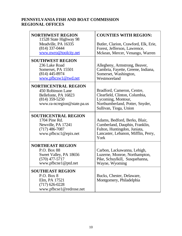# **PENNSYLVANIA FISH AND BOAT COMMISSION REGIONAL OFFICES**

| <b>NORTHWEST REGION</b><br>11528 State Highway 98<br>Meadville, PA 16335<br>$(814)$ 337-0444<br>www.nwro@toolcity.net      | <b>COUNTIES WITH REGION:</b><br>Butler, Clarion, Crawford, Elk, Erie,<br>Forest, Jefferson, Lawrence,<br>Mckean, Mercer, Venango, Warren        |
|----------------------------------------------------------------------------------------------------------------------------|-------------------------------------------------------------------------------------------------------------------------------------------------|
| <b>SOUTHWEST REGION</b><br>236 Lake Road<br>Somerset, PA 15501<br>$(814)$ 445-8974<br>www.pfbcsw1@twd.net                  | Allegheny, Armstrong, Beaver,<br>Cambria, Fayette, Greene, Indiana,<br>Somerset, Washington,<br>Westmoreland                                    |
| <b>NORTHCENTRAL REGION</b><br>450 Robinson Lane<br>Bellefonte, PA 16823<br>$(814)$ 359-5250<br>www.ra-ncregion@state.pa.us | Bradford, Cameron, Centre,<br>Clearfield, Clinton, Columbia,<br>Lycoming, Montour,<br>Northumberland, Potter, Snyder,<br>Sullivan, Tioga, Union |
| <b>SOUTHCENTRAL REGION</b><br>1704 Pine Rd.<br>Newville, PA 17241<br>$(717)$ 486-7087<br>www.pfbcsc1@epix.net              | Adams, Bedford, Berks, Blair,<br>Cumberland, Dauphin, Franklin,<br>Fulton, Huntingdon, Juniata,<br>Lancaster, Lebanon, Mifflin, Perry,<br>York  |
| <b>NORTHEAST REGION</b><br>P.O. Box 88<br>Sweet Valley, PA 18656<br>$(570)$ 477-5717<br>www.pfbcne1@ptd.net                | Carbon, Lackawanna, Lehigh,<br>Luzerne, Monroe, Northampton,<br>Pike, Schuylkill, Susquehanna,<br>Wayne, Wyoming                                |
| <b>SOUTHEAST REGION</b><br>P.O. Box 8<br>Elm, PA 17521<br>$(717)$ 626-0228<br>www.pfbcse1@redrose.net                      | Bucks, Chester, Delaware,<br>Montgomery, Philadelphia                                                                                           |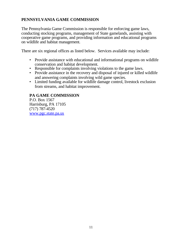# **PENNSYLVANIA GAME COMMISSION**

The Pennsylvania Game Commission is responsible for enforcing game laws, conducting stocking programs, management of State gamelands, assisting with cooperative game programs, and providing information and educational programs on wildlife and habitat management.

There are six regional offices as listed below. Services available may include:

- Provide assistance with educational and informational programs on wildlife conservation and habitat development.
- Responsible for complaints involving violations to the game laws.
- Provide assistance in the recovery and disposal of injured or killed wildlife and answering complaints involving wild game species.
- Limited funding available for wildlife damage control, livestock exclusion from streams, and habitat improvement.

# **PA GAME COMMISSION**

P.O. Box 1567 Harrisburg, PA 17105 (717) 787-4520 www.pgc.state.pa.us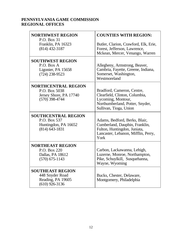# **PENNSYLVANIA GAME COMMISSION REGIONAL OFFICES**

| <b>NORTHWEST REGION</b><br>P.O. Box 31                                                    | <b>COUNTIES WITH REGION:</b>                                                                                                                    |
|-------------------------------------------------------------------------------------------|-------------------------------------------------------------------------------------------------------------------------------------------------|
| Franklin, PA 16323<br>$(814)$ 432-3187                                                    | Butler, Clarion, Crawford, Elk, Erie,<br>Forest, Jefferson, Lawrence,<br>Mckean, Mercer, Venango, Warren                                        |
| <b>SOUTHWEST REGION</b><br>P.O. Box A<br>Ligonier, PA 15658<br>$(724)$ 238-9523           | Allegheny, Armstrong, Beaver,<br>Cambria, Fayette, Greene, Indiana,<br>Somerset, Washington,<br>Westmoreland                                    |
| <b>NORTHCENTRAL REGION</b><br>P.O. Box 5038<br>Jersey Shore, PA 17740<br>$(570)$ 398-4744 | Bradford, Cameron, Centre,<br>Clearfield, Clinton, Columbia,<br>Lycoming, Montour,<br>Northumberland, Potter, Snyder,<br>Sullivan, Tioga, Union |
| <b>SOUTHCENTRAL REGION</b><br>P.O. Box 537<br>Huntingdon, PA 16652<br>$(814)$ 643-1831    | Adams, Bedford, Berks, Blair,<br>Cumberland, Dauphin, Franklin,<br>Fulton, Huntingdon, Juniata,<br>Lancaster, Lebanon, Mifflin, Perry,<br>York  |
| <b>NORTHEAST REGION</b><br>P.O. Box 220<br>Dallas, PA 18612<br>$(570)$ 675-1143           | Carbon, Lackawanna, Lehigh,<br>Luzerne, Monroe, Northampton,<br>Pike, Schuylkill, Susquehanna,<br>Wayne, Wyoming                                |
| <b>SOUTHEAST REGION</b><br>448 Snyder Road<br>Reading, PA 19605<br>$(610)$ 926-3136       | Bucks, Chester, Delaware,<br>Montgomery, Philadelphia                                                                                           |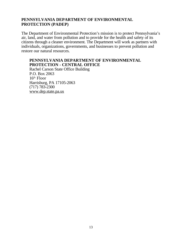# **PENNSYLVANIA DEPARTMENT OF ENVIRONMENTAL PROTECTION (PADEP)**

The Department of Environmental Protection's mission is to protect Pennsylvania's air, land, and water from pollution and to provide for the health and safety of its citizens through a cleaner environment. The Department will work as partners with individuals, organizations, governments, and businesses to prevent pollution and restore our natural resources.

#### **PENNSYLVANIA DEPARTMENT OF ENVIRONMENTAL PROTECTION - CENTRAL OFFICE**

Rachel Carson State Office Building P.O. Box 2063  $16<sup>th</sup>$  Floor Harrisburg, PA 17105-2063 (717) 783-2300 www.dep.state.pa.us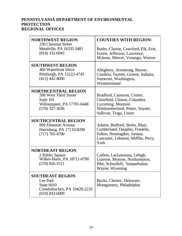# **PENNSYLVANIA DEPARTMENT OF ENVIRONMENTAL PROTECTION REGIONAL OFFICES**

| <b>NORTHWEST REGION</b><br>230 Chestnut Street                                                                      | <b>COUNTIES WITH REGION:</b>                                                                                                                    |
|---------------------------------------------------------------------------------------------------------------------|-------------------------------------------------------------------------------------------------------------------------------------------------|
| Meadville, PA 16335-3481<br>$(814)$ 332-6945                                                                        | Butler, Clarion, Crawford, Elk, Erie,<br>Forest, Jefferson, Lawrence,<br>Mckean, Mercer, Venango, Warren                                        |
| <b>SOUTHWEST REGION</b><br>400 Waterfront Drive<br>Pittsburgh, PA 15222-4745<br>$(412)$ 442-4000                    | Allegheny, Armstrong, Beaver,<br>Cambria, Fayette, Greene, Indiana,<br>Somerset, Washington,<br>Westmoreland                                    |
| <b>NORTHCENTRAL REGION</b><br>208 West Third Street<br>Suite 101<br>Williamsport, PA 17701-6448<br>$(570)$ 327-3636 | Bradford, Cameron, Centre,<br>Clearfield, Clinton, Columbia,<br>Lycoming, Montour,<br>Northumberland, Potter, Snyder,<br>Sullivan, Tioga, Union |
| <b>SOUTHCENTRAL REGION</b><br>909 Elmerton Avenue<br>Harrisburg, PA 17110-8200<br>$(717)$ 705-4700                  | Adams, Bedford, Berks, Blair,<br>Cumberland, Dauphin, Franklin,<br>Fulton, Huntingdon, Juniata,<br>Lancaster, Lebanon, Mifflin, Perry,<br>York  |
| <b>NORTHEAST REGION</b><br>2 Public Square<br>Wilkes-Barre, PA 18711-0790<br>$(570)$ 826-2511                       | Carbon, Lackawanna, Lehigh,<br>Luzerne, Monroe, Northampton,<br>Pike, Schuylkill, Susquehanna,<br>Wayne, Wyoming                                |
| <b>SOUTHEAST REGION</b><br>Lee Park<br>Suite 6010<br>Conshohocken, PA 19428-2233<br>$(610)$ 832-6000                | Bucks, Chester, Delaware,<br>Montgomery, Philadelphia                                                                                           |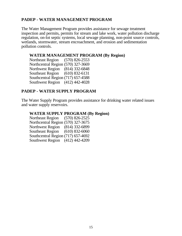# **PADEP - WATER MANAGEMENT PROGRAM**

The Water Management Program provides assistance for sewage treatment inspection and permits, permits for stream and lake work, water pollution discharge regulation, on-lot septic systems, local sewage planning, non-point source controls, wetlands, stormwater, stream encroachment, and erosion and sedimentation pollution controls.

## **WATER MANAGEMENT PROGRAM (By Region)**

Northeast Region (570) 826-2553 Northcentral Region (570) 327-3669 Northwest Region (814) 332-6848 Southeast Region (610) 832-6131 Southcentral Region (717) 657-4588 Southwest Region (412) 442-4028

# **PADEP - WATER SUPPLY PROGRAM**

The Water Supply Program provides assistance for drinking water related issues and water supply reservoirs.

# **WATER SUPPLY PROGRAM (By Region)**

Northeast Region (570) 826-2525 Northcentral Region (570) 327-3675 Northwest Region (814) 332-6899 Southeast Region (610) 832-6060 Southcentral Region (717) 657-4692 Southwest Region (412) 442-4209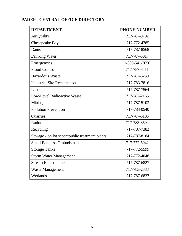| <b>DEPARTMENT</b>                              | <b>PHONE NUMBER</b> |
|------------------------------------------------|---------------------|
| Air Quality                                    | 717-787-9702        |
| Chesapeake Bay                                 | 717-772-4785        |
| Dams                                           | 717-787-8568        |
| <b>Drinking Water</b>                          | 717-787-5017        |
| Emergencies                                    | 1-800-541-2050      |
| <b>Flood Control</b>                           | 717-787-3411        |
| <b>Hazardous Waste</b>                         | 717-787-6239        |
| <b>Industrial Site Reclamation</b>             | 717-783-7816        |
| Landfills                                      | 717-787-7564        |
| <b>Low-Level Radioactive Waste</b>             | 717-787-2163        |
| Mining                                         | 717-787-5103        |
| <b>Pollution Prevention</b>                    | 717-783-0540        |
| Quarries                                       | 717-787-5103        |
| Radon                                          | 717-783-3594        |
| Recycling                                      | 717-787-7382        |
| Sewage - on lot septic/public treatment plants | 717-787-8184        |
| <b>Small Business Ombudsman</b>                | 717-772-5942        |
| <b>Storage Tanks</b>                           | 717-772-5599        |
| <b>Storm Water Management</b>                  | 717-772-4048        |
| <b>Stream Encroachments</b>                    | 717-787-6827        |
| <b>Waste Management</b>                        | 717-783-2388        |
| Wetlands                                       | 717-787-6827        |

# **PADEP - CENTRAL OFFICE DIRECTORY**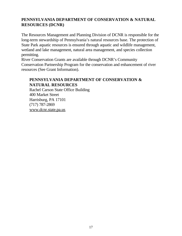# **PENNSYLVANIA DEPARTMENT OF CONSERVATION & NATURAL RESOURCES (DCNR)**

The Resources Management and Planning Division of DCNR is responsible for the long-term stewardship of Pennsylvania's natural resources base. The protection of State Park aquatic resources is ensured through aquatic and wildlife management, wetland and lake management, natural area management, and species collection permitting.

River Conservation Grants are available through DCNR's Community Conservation Partnership Program for the conservation and enhancement of river resources (See Grant Information).

# **PENNSYLVANIA DEPARTMENT OF CONSERVATION & NATURAL RESOURCES**

Rachel Carson State Office Building 400 Market Street Harrisburg, PA 17101 (717) 787-2869 www.dcnr.state.pa.us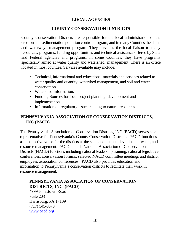# **LOCAL AGENCIES**

# **COUNTY CONSERVATION DISTRICTS**

County Conservation Districts are responsible for the local administration of the erosion and sedimentation pollution control program, and in many Counties the dams and waterways management program. They serve as the local liaison to many resources, programs, funding opportunities and technical assistance offered by State and Federal agencies and programs. In some Counties, they have programs specifically aimed at water quality and watershed management. There is an office located in most counties. Services available may include:

- Technical, informational and educational materials and services related to water quality and quantity, watershed management, and soil and water conservation.
- Watershed Information.
- Funding Sources for local project planning, development and implementation.
- Information on regulatory issues relating to natural resources.

# **PENNSYLVANIA ASSOCIATION OF CONSERVATION DISTRICTS, INC (PACD)**

The Pennsylvania Association of Conservation Districts, INC (PACD) serves as a representative for Pennsylvania's County Conservation Districts. PACD functions as a collective voice for the districts at the state and national level in soil, water, and resource management. PACD attends National Association of Conservation Districts (NACD) functions including national leadership training, national legislative conferences, conservation forums, selected NACD committee meetings and district employees association conferences. PACD also provides education and information to Pennsylvania's conservation districts to facilitate their work in resource management.

# **PENNSYLVANIA ASSOCIATION OF CONSERVATION DISTRICTS, INC. (PACD**)

4999 Jonestown Road Suite 203 Harrisburg, PA 17109 (717) 545-8878 www.pacd.org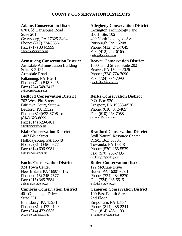# **COUNTY CONSERVATION DISTRICTS**

#### **Adams Conservation District**

670 Old Harrisburg Road Suite 201 Gettysburg, PA 17325-3404 Phone: (717) 334-0636 Fax: (717) 334-5999 c-lmartick@state.pa.us

#### **Armstrong Conservation District**

Armsdale Administration Building Suite B-2 124 Armsdale Road Kittanning, PA 16201 Phone: (724) 548-3425 Fax: (724) 548-3413 c-drupert@state.pa.us

#### **Bedford Conservation District**

702 West Pitt Street Fairlawn Court, Suite 4 Bedford, PA 15522 Phone: (814)623-6706, or (814) 623-8099 Fax: (814) 623-0481 c-tmiller@state.pa.us

#### **Blair Conservation District**

1407 Blair Street Hollidaysburg, PA 16648 Phone: (814) 696-0877 Fax: (814) 696-9981 c-dfisher@state.pa.us

#### **Bucks Conservation District**

924 Town Center New Britain, PA 18901-5182 Phone: (215) 345-7577 Fax: (215) 345-7584 c-rlenhard@state.pa.us

#### **Cambria Conservation District**

401 Candlelight Drive Suite 221 Ebensburg, PA 15931 Phone: (814) 472-2120 Fax: (814) 472-0686 cccd@co.cambria.pa.us

#### **Allegheny Conservation District**

Lexington Technology Park Bld 1, Ste. 102 400 North Lexington Ave. Pittsburgh, PA 15208 Phone: (412) 241-7645 Fax: (412) 242-6165 c-efeigel@state.pa.us

#### **Beaver Conservation District**

1000 Third Street, Suite 202 Beaver, PA 15009-2026 Phone: (724) 774-7090 Fax: (724) 774-7090 c-jscherfe@state.pa.us

# **Berks Conservation District**

P.O. Box 520 Leesport, PA 19533-0520 Phone: (610) 372-4657 Fax: (610) 478-7058 c-jravert@state.pa.us

# **Bradford Conservation District**

Stoll Natural Resource Center RR#5, Box 5030C Towanda, PA 18848 Phone: (570) 265-5539 Fax: (570) 265-7435 c-mlovegre@state.pa.us

#### **Butler Conservation District**

122 McCune Drive Butler, PA 16001-6501 Phone: (724) 284-5270 Fax: (724) 285-5515 c-rfodor@state.pa.us

#### **Cameron Conservation District**

100 East Fourth Street 2nd Floor Emporium, PA 15834 Phone: (814) 486-2244 Fax: (814) 486-1139 c-jhampton@state.pa.us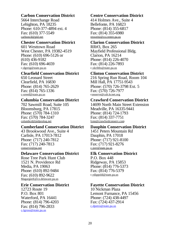#### **Carbon Conservation District**

5664 Interchange Road Lehighton, PA 18235 Phone: 610-377-4894 ext. 4 Fax: (610) 377-5549 carboncd@ptd.net

#### **Chester Conservation District**

601 Westtown Road West Chester, PA 19382-4519 Phone: (610) 696-5126 or  $(610)$  436-9182 Fax: (610) 696-4659 c-dgreig@state.pa.us

#### **Clearfield Conservation District**

650 Leonard Street Clearfield, PA 16830 Phone: (814) 765-2629 Fax: (814) 765-1336 c-sreed@state.pa.us

#### **Columbia Conservation District**

702 Sawmill Road, Suite 105 Bloomsburg, PA 17815 Phone: (570) 784-1310 Fax: (570) 784-3247 columbcd@ptdprolog.net

#### **Cumberland Conservation District**

43 Brookwood Ave., Suite 4 Carlisle, PA 17013-7812 Phone: (717) 240-7812 Fax: (717) 240-7813 conserve@pa.net

#### **Delaware Conservation District**

Rose Tree Park Hunt Club 1521 N. Providence Rd Media, PA 19063 Phone: (610) 892-9484 Fax: (610) 892-9622 MagargeeE@co.delaware.pa.us

#### **Erie Conservation District**

12723 Route 19 P.O. Box 801 Waterford, PA 16441 Phone: (814) 796-4203 Fax: (814) 796-2833 c-lgross@state.pa.us

#### **Centre Conservation District**

414 Holmes Ave., Suite 4 Bellefonte, PA 16823 Phone: (814) 355-6817 Fax: (814) 355-6980 resweitz@co.centre.pa.us

#### **Clarion Conservation District**

RR#3, Box 265 Mayfield Professional Bldg. Clarion, PA 16214 Phone: (814) 226-4070 Fax: (814) 226-7893 c-skribbs@state.pa.us

#### **Clinton Conservation District**

216 Spring Run Road, Room 104 Mill Hall, PA 17751-9543 Phone: (570) 726-3798 Ext. 5 Fax: (570) 726-7977 conserve@cub.kcnet.org

#### **Crawford Conservation District**

14699 North Main Street Extension Meadville, PA 16335-9441 Phone: (814) 724-1793 Fax: (814) 337-7751 lynn@crawfordconserv.com

#### **Dauphin Conservation District**

1451 Peters Mountain Rd Dauphin, PA 17018 Phone: (717) 921-8100 Fax: (717) 921-8276 c-jorr@state.pa.us

#### **Elk Conservation District**

P.O. Box 448 Ridgeway, PA 15853 Phone: (814) 776-5373 Fax: (814) 776-5379 c-rdippold@state.pa.us

#### **Fayette Conservation District**

10 Nickman Plaza Lemont Furnance, PA 15456 Phone: (724) 438-4497 Fax: (724) 437-2914 c-dpetro@state.pa.us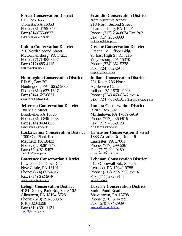#### **Forest Conservation District**

P.O. Box 456 Tionesta, PA 16353 Phone: (814)755-3450 Fax: (814)755-8837 c-dcarlson@state.pa.us

#### **Fulton Conservation District**

216 North Second Street McConnellsburg, PA 17233 Phone: (717) 485-3547 Fax: (717) 485-4115 c-jreed@state.pa.us

#### **Huntingdon Conservation District**

RD #1, Box 7C Huntingdon, PA 16652-9603 Phone: (814) 627-1627 Fax: (814) 627-6831 c-apatters@state.pa.us

#### **Jefferson Conservation District**

180 Main Street Brookville, PA 15825 Phone: (814) 849-7463 Fax: (814) 849-0825 c-dwilson@state.pa.us

#### **Lackawanna Conservation District**

1300 Old Plank Road Mayfield, PA 18433 Phone: (570)281-9495 Fax: (570)281-9497 c-ekeller@state.pa.us

#### **Lawrence Conservation District**

Lawrence Co. Gov't Ctr. New Castle, PA 16101 Phone: (724) 652-4512 Fax: (724) 652-9646 c-jmccread@state.pa.us

#### **Lehigh Conservation District**

4184 Dorney Park Rd., Suite 102 Allentown, PA 18104-5728 Phone: (610) 391-9583 or (610) 820-3398 Fax: (610) 391-1131 c-psell@state.pa.us

#### **Franklin Conservation District**

Administrative Annex 218 North Second Street Chambersburg, PA 17201 Phone: (717) 264-8074 Ext. 203 Fax: (717) 263-0909 c-etarner@state.pa.us

#### **Greene Conservation District**

Greene Co. Office Bldg. 93 East High St, Rm 215 Waynesburg, PA 15370 Phone: (724) 852-5278 Fax: (724) 852-2944 c-kpaul@state.pa.us

#### **Indiana Conservation District**

251 Route 286 North Ag Service Center Indiana, PA 15701-9203 Phone: (724) 463-8547 ext. 4 Fax: (724) 463-9181 c-lkopcyzk@state.pa.us

#### **Juniata Conservation District**

RR#3, Box 302 Mifflintown, PA 17059-6919 Phone: (717) 436-6919 Fax: (717) 436-9128 c-dlauver@state.pa.us

#### **Lancaster Conservation District**

1383 Arcadia Rd., Room 6 Lancaster, PA 17601 Phone: (717) 299-5361 Fax: (717) 299-9459 c-drobinso@state.pa.us

#### **Lebanon Conservation District**

2120 Cornwall Rd., Suite 5 Lebanon, PA 17042-9788 Phone: (717) 272-3908 ext. 4 Fax: (717) 272-5314 info@lccd.org

#### **Luzerne Conservation District**

Smith Pond Road Shavertown, PA 18708 Phone: (570) 674-7991 Fax: (570) 674-7989 luzerncd@ptdprolog.net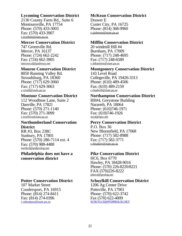#### **Lycoming Conservation District**

2130 County Farm Rd., Suite 6 Montoursville, PA 17754 Phone: (570) 433-3003 Fax: (570) 433-3907 c-tcorbett@state.pa.us

#### **Mercer Conservation District**

747 Greenville Rd. Mercer, PA 16137 Phone: (724) 662-2242 Fax: (724) 662-3905 mercerccd@pathway.net

#### **Monroe Conservation District**

8050 Running Valley Rd. Stroudsburg, PA 18360 Phone: (717) 629-3060 Fax: (717) 629-3063 c-ctodd@state.pa.us

#### **Montour Conservation District**

112 Woodbine Lane, Suite 2 Danville, PA 17821 Phone: (570) 271-1140 Fax: (570) 271-3099 c-twellive@state.pa.us

#### **Northumberland Conservation District**

RR #3, Box 238C Sunbury, PA 17801 Phone: (570) 286-7114 ext. 4 Fax: (570) 988-4488 northcd@ptdprolog.net

#### **Philadelphia does not have a conservation district**

### **Potter Conservation District**

107 Market Street Coudersport, PA 16915 Phone: (814) 274-8411 Fax: (814) 274-0396 c-sthompso@state.pa.us

#### **McKean Conservation District**

Drawer E Custer City, PA 16725 Phone: (814) 368-9960 c-jjohnson@state.pa.us

#### **Mifflin Conservation District**

20 windmill Hill #4 Burnham, PA 17009 Phone: (717) 248-4695 Fax: (717) 248-6589 c-ddunmire@state.pa.us

#### **Montgomery Conservation District**

143 Level Road Collegeville, PA 19426-3313 Phone: (610) 489-4506 Fax: (610) 489-2159 c-rkadwill@state.pa.us

#### **Northampton Conservation District**

RR#4, Greystone Building Narareth, PA 18064 Phone: (610)746-1971 Fax: (610)746-1926 nccd@epix.net

#### **Perry Conservation District**

P.O. Box 36 New Bloomfield, PA 17068 Phone: (717) 582-8988 Fax: (717) 582-3771 c-tbrajkov@state.pa.us

#### **Pike Conservation District**

HC6, Box 6770 Hawley, PA 18428-9016 Phone: (570) 226-8220/8221 FAX (570)226-8222 pikecd@prolog.net

#### **Schuylkill Conservation District**

1206 Ag Center Drive Pottsville, PA 17901 Phone: (570) 622-3742 Fax (570) 622-4009 SCHUYLCD@PTDPROLOG.NET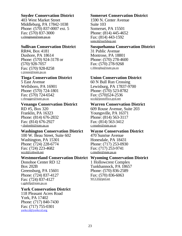#### **Snyder Conservation District**

403 West Market Street Middleburg, PA 17842-1038 Phone: (570) 837-0007 ext. 5 Fax: (570) 837-3000 c-cbingman@state.pa.us

#### **Sullivan Conservation District**

RR#4, Box 4181 Dushore, PA 18614 Phone: (570) 924-3178 or (570) 928-7057 Fax: (570) 928-8258 c-jrouse@state.pa.us

#### **Tioga Conservation District**

5 East Avenue Wellsboro, PA 16901 Phone: (570) 724-1801 Fax: (570) 724-6542 c-rbrugger@state.pa.us

#### **Venango Conservation District**

RD #5, Box 320 Franklin, PA 16323 Phone: (814) 676-2832 Fax: (814) 676-2927 c-jbalombi@state.pa.us

#### **Washington Conservation District**

100 W. Beau Street, Suite 602 Washington, PA 15301 Phone: (724) 228-6774 Fax: (724) 223-4682 wccd@cobweb.net

### **Westmoreland Conservation District Wyoming Conservation District**

Donohoe Center RD 12 Box 202B Greensburg, PA 15601 Phone: (724) 837-4127 Fax: (724) 837-4127 c-gphillp@state.pa.us

#### **York Conservation District**

118 Pleasant Acres Road York, PA 17402 Phone: (717) 840-7430 Fax: (717) 755-0301 yorkccd@yorkccd.org

#### **Somerset Conservation District**

1590 N. Center Avenue Suite 103 Somerset, PA 15501 Phone: (814) 445-4652 Fax: (814) 443-1592 somcd@surfshop.net

#### **Susquehanna Conservation District**

31 Public Avenue Montrose, PA 18801 Phone: (570) 278-4600 Fax: (570) 278-9268 c-ltheopha@state.pa.us

### **Union Conservation District**

60 N Bull Run Crossing Lewisburg, PA 17837-9700 Phone: (570) 523-8782 Fax: (570)524-2536 uccd@postoffice.pyd.net

#### **Warren Conservation District**

609 Rouse Avenue, Suite 203 Youngsville, PA 16371 Phone: (814) 563-3117 Fax: (814) 563-3412 c-rmader@state.pa.us

#### **Wayne Conservation District**

470 Sunrise Avenue Honesdale, PA 18431 Phone: (717) 253-0930 Fax: (717) 253-9741 c-rmuller@state.pa.us

1 Hollowcrest Complex Tunkhannock, PA 18657 Phone: (570) 836-2589 Fax: (570) 836-6063 WCCD@ptd.net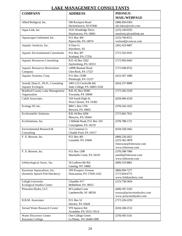# **LAKE MANAGEMENT CONSULTANTS**

| <b>COMPANY</b><br><b>ADDRESS</b><br>PHONE/E-                                                 |  |
|----------------------------------------------------------------------------------------------|--|
| <b>MAIL/WEBPAGE</b>                                                                          |  |
| Allied Bioligical, Inc.<br>580 Rockport Road<br>$(908) 850 - 0303$                           |  |
| Hackettstown, NJ 07840<br>abi.lakes@erols.com                                                |  |
| 3531 Windridge Drive<br>Aqua-Link, Inc.<br>$(215)$ 230-9325                                  |  |
| Doylestown, PA 18901<br>emolesky@earthlink.net                                               |  |
| $(215) 766 - 8151$<br>P.O. Box 364<br>Aquascapes Unlimited, Inc.                             |  |
| Pipersville, PA 18974<br>wetland@comcat.com                                                  |  |
| $(201)$ 423-9407<br>Aquatic Analysts, Inc.<br>9 Glen Ct.                                     |  |
| Hawthorn, NJ                                                                                 |  |
| <b>Aquatic Environmental Consultants</b><br>P.O. Box 307<br>$(717)$ 352-9191                 |  |
| Scotland, PA 17254                                                                           |  |
| <b>Aquatic Resources Consulting</b><br>R.D. #2 Box 2562<br>$(717)$ 992-6443                  |  |
| Saylorsburg, PA 18353                                                                        |  |
| 14996 Bonnair Road<br><b>Aquatic Resources Restoration</b><br>$(717)$ 938-9722               |  |
| Company<br>Glen Rock, PA 17327                                                               |  |
| P.O. Box 15390<br>Aquatic Systems, Corp.<br>$(412)$ 367-1000                                 |  |
| Pittsburgh, PA 15237                                                                         |  |
| Arnold, Dean E., Ph.D., Consulting<br>2465-123 Circleville Rd.<br>$(814)$ 237-8908           |  |
| <b>Aquatic Ecologist</b><br>State College, PA 16803-3328                                     |  |
| R.R. #5, Box 5030C<br><b>Bradford County Lake Management</b><br>$(717)$ 265-5539             |  |
| Organization<br>Towanda, PA 18848                                                            |  |
| <b>Cahill Associates</b><br>104 South High St.<br>$(610) 696 - 4150$                         |  |
| West Chester, PA 19382                                                                       |  |
| RR# 1, Box 1795<br>Ecology III, Inc.<br>$(570) 542 - 1625$                                   |  |
| Berwick, PA 18603                                                                            |  |
| <b>EcoScientific Solutions</b><br>R.R. #4 Box 4294<br>$(717) 842 - 7631$<br>Moscow, PA 18444 |  |
| 1 Hillside Road, P.O. Box 193<br>EcoSolutions, Inc.<br>$(570) 788 - 1721$                    |  |
| Conyngham, PA 18219                                                                          |  |
| 112 Common Ct.<br>Environmental Research &<br>$(610)$ 558-1662                               |  |
| Chadds Ford, PA 19317<br>Consulting                                                          |  |
| F. X. Browne, Inc.<br>P.O. Box 401<br>$(800)$ 220-2022                                       |  |
| Lansdale, PA 19446<br>$(215)$ 362-3878                                                       |  |
| fxbrowne@fxbrowne.com                                                                        |  |
| www.fxbrowne.com                                                                             |  |
| P.O. Box 1398<br>$(570) 588 - 7900$<br>F. X. Browne, Inc.                                    |  |
| jsmith@fxbrowne.com<br>Marshalls Creek, PA 18335                                             |  |
| www.fxbrowne.com                                                                             |  |
| Ichthyological Assoc. Inc.<br>50 Ludlowville Rd.<br>$(609)$ 533-8801                         |  |
| Lansing, NY 14882                                                                            |  |
| Keystone Aquaculture, Inc.<br>309 Prospect Avenue<br>$(800)$ 994-7277                        |  |
| (formerly Sproch Fish Hatchery)<br>Duncannon, PA 17020-1432<br>$(717) 834-6772$              |  |
| www.fishhatchery.com                                                                         |  |
| Lehigh University<br>Chandler #17<br>$(215)$ 758-3650                                        |  |
| <b>Ecological Studies Center</b><br>Bethlehem, PA 18015                                      |  |
| 80 Lambert Lane<br>Princeton-Hydro, LLC<br>$(609)$ 397-5335                                  |  |
| Lambertville, NJ 08530<br>ssousa@princetonhydro.com                                          |  |
| www.princetonhydro.com                                                                       |  |
| P.O. Box 52<br>$(717)$ 226-2259<br>R.B.M. Associates                                         |  |
| Hawley, PA 18428                                                                             |  |
| 970 Spencer Rd.<br><b>Stroud Water Research Center</b><br>$(610)$ 268-2153                   |  |
| Avondale, PA 19311-9514<br>Water Discovery Center<br>One College Green                       |  |
| $(570)$ 945-5141<br>La Plume, PA 18440-1099<br>Keystone College                              |  |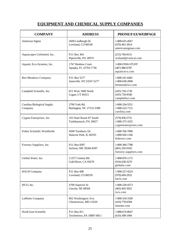# **EQUIPMENT AND CHEMICAL SUPPLY COMPANIES**

| <b>COMPANY</b>                        | <b>ADDRESS</b>                                    | PHONE/FAX/WEBPAGE                                             |
|---------------------------------------|---------------------------------------------------|---------------------------------------------------------------|
| American Sigma                        | 5600 Lindbergh Dr.<br>Loveland, CO 80538          | 1-800-635-4567<br>$(970)$ 461-3914<br>americansigman.com      |
| Aquascapes Unlimited, Inc.            | P.O. Box 364<br>Pipersville, PA 18974             | $(215) 766 - 8151$<br>wetland@comcat.com                      |
| Aquatic Eco-Systems, Inc.             | 1767 Benbow Court<br>Apopka, FL 32703-7730        | 1-800-FISH-STUFF<br>$(407) 886 - 6787$<br>aquaticeco.com      |
| <b>Ben Meadows Company</b>            | P.O. Box 5277<br>Janesville, WI 53547-5277        | 1-800-241-6401<br>1-800-628-2068<br>benmeadows.com            |
| Campbell Scientific, Inc.             | 815 West 1800 North<br>Logan, UT 84321            | (435) 750-1739<br>$(435) 750 - 9540$<br>campbellsci.com       |
| Carolina Biological Supply<br>Company | 2700 York Rd.<br>Burlington, NC 27215-3398        | 1-800-334-5551<br>1-800-222-7112<br>carolina.com              |
| Cygnet Enterprises, Inc.              | 103 State Route 87 South<br>Tunkhannock, PA 18657 | $(570) 836 - 5751$<br>1-800-275-3325<br>cygnetenterprises.com |
| <b>Fisher Scientific Worldwide</b>    | 4500 Turnberry Dr.<br>Hanover Park, IL 60103      | 1-800-766-7000<br>1-800-926-1166<br>fishersci.com             |
| Forestry Suppliers, Inc.              | P.O. Box 8397<br>Jackson, MS 39284-8397           | 1-800-360-7788<br>$(601)$ 292-0165<br>forestry-suppliers.com  |
| Global Water, Inc.                    | 11257 Coloma Rd.<br>Gold River, CA 95670          | 1-800-876-1172<br>$(916) 638 - 3270$<br>globalw.com           |
| <b>HACH</b> Company                   | P.O. Box 608<br>Loveland, CO 80539                | 1-900-227-4224<br>$(970)$ 669-2932<br>hach.com                |
| ISCO, Inc.                            | 4700 Superior St.<br>Lincoln, NE 68504            | 1-800-228-4373<br>$(402)$ 465-3022<br>isco.com                |
| LaMotte Company                       | 802 Washington Ave.<br>Chestertown, MD 21620      | 1-800-334-3100<br>$(410)$ 778-6394<br>lamotte.com             |
| North East Scientific                 | P.O. Box 811<br>Trexlertown, PA 18087-0811        | 1-888-674-8647<br>$(610)$ 398-1994                            |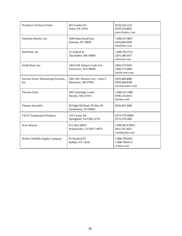| <b>Northeast Technical Sales</b>          | 402 Gordon Dr.<br>Exton, PA 19341                    | $(610) 524 - 1212$<br>$(610)$ 524-8425<br>netechsales.com  |
|-------------------------------------------|------------------------------------------------------|------------------------------------------------------------|
| Otterbine Barebo, Inc.                    | 3840 Main Road East<br>Emmaus, PA 18049              | 1-800-237-8837<br>$(610)$ 965-6050<br>otterbine.com        |
| RainWise, Inc.                            | 25 Federal St.<br>Bar Harbor, ME 04609               | 1-800-762-5723<br>$(207)$ 288-3477<br>rainwise.com         |
| Smith-Root, Inc.                          | 14014 NE Salmon Creek Ave.<br>Vancouver, WA 98686    | $(360) 573 - 0202$<br>$(360) 573 - 2064$<br>smith-root.com |
| Stevens Water Monitoring Systems,<br>Inc. | 5465 SW Western Ave., Suite F<br>Beaverton, OR 97005 | $(503)$ 469-8000<br>$(503)$ 469-8100<br>stevenswater.com   |
| Thermo Orion                              | 500 Cummings Center<br>Beverly, MA 01915             | 1-800-225-1480<br>$(978)$ 232-6015<br>thermo.com           |
| Thomas Scientific                         | 99 High Hill Road, PO Box 99<br>Swedesboro, NJ 08085 | $(856)$ 467-2000                                           |
| <b>VECO Temperature Products</b>          | 118 Victory Rd.<br>Springfield, NJ 07081-0710        | (973) 379-54900<br>(973) 379-5982                          |
| West Marine                               | P.O. Box 50070<br>Watsonville, CA 95077-0070         | 1-800-BOATING<br>$(831) 761 - 4421$<br>westmarine.com      |
| Wildco Wildlife Supply Company            | 95 Botsford Pl.<br>Buffalo, NY 14216                 | 1-800-799-8301<br>1-800-799-8115<br>wildco.com             |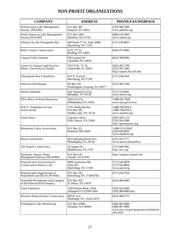# **NON-PROFIT ORGANIZATIONS**

| <b>COMPANY</b>                                                       | <b>ADDRESS</b>                                                    | PHONE/FAX/WEBPAGE                                                                        |
|----------------------------------------------------------------------|-------------------------------------------------------------------|------------------------------------------------------------------------------------------|
| Pennsylvania Lake Management<br>Society (PALMS)                      | P.O. Box 395<br>Paupack, PA 18451                                 | $(570) 588 - 7900$<br>www.palakes.org                                                    |
| North American Lake Management<br>Society (NALMS)                    | P.O. Box 5443<br>Madison, WI 53705                                | $(608)$ 233-2863<br>www.nalms.org                                                        |
| Alliance for the Chesapeake Bay                                      | 600 North 2 <sup>nd</sup> St., Suite 300B<br>Harrisburg, PA 17101 | $(717)$ 236-8825                                                                         |
| <b>Berks County Conservancy</b>                                      | $25$ N. $11^{th}$ St.<br>Reading, PA 19601                        | $(610)$ 372-4992                                                                         |
| Canaan Valley Institute                                              | 650 Leonard St.<br>Clearfield, PA 16830                           | (814) 768-9584                                                                           |
| Center for Aquatic and Invasive<br>Plants, University of Florida     | 7922 N.W. 71 <sup>st</sup> St.<br>Gainesville, FL 32653           | (352) 392-1799<br>$(352)$ 392-3462<br>http://aquatl.lfas.ufl.edu                         |
| Chesapeake Bay Foundation                                            | 614 N. Front St.<br>Harrisburg, PA 17101                          | $(717)$ 234-5550                                                                         |
| Delaware Riverkeeper                                                 | PO Box 326<br>Washington Crossing, PA 18977                       | $(215)$ 369-1188                                                                         |
| <b>Ducks Unlimited</b>                                               | One Waterfowl Way<br>Memphis, TN 38120                            | $(717) 733 - 0301$<br>www.ducks.org                                                      |
| <b>EPA Office of Water Resources</b>                                 | 1650 Arch St.<br>Philadelphia, PA 19103                           | 1-800-832-7828<br>www.epa.gov/owow                                                       |
| FOLA - Federation of Lake<br>Associations                            | 2701 Shadyside Rd.<br>P.O. Box 342<br>Findley Lake, NY 14736      | 1-800-796-FOLA<br>1-800-796-FOLA<br>www.nysfola.org                                      |
| Geese Peace                                                          | Lakeview Drive<br>Falls Church, VA 22041                          | $(703)$ 354-1713<br>$(703)$ 354-1940<br>http://geesepeace.org                            |
| Minnesota Lakes Association                                          | P.O. Box 321<br>Brainerd, MN 56401                                | 1-800-515-LAKE<br>$(218) 829 - 0635$<br>www.mnlakes.org                                  |
| Morris Arboretum                                                     | 9414 Meadowbrook Ave.<br>Philadelphia, PA 19118                   | $(215)$ 247-5777<br>www.upenn.edu/paflora                                                |
| The Nature Conservancy                                               | 34 Airport Dr.<br>Middletown, PA 1705                             | $(717)$ 948-3962<br>http://tnc.org                                                       |
| Northeast Aquatic Plant<br>Management Society (NEAPMS)               | P.O. Box 142<br>Chester, NJ, 07930                                | http://neapms.tripod.com                                                                 |
| Pennsylvania Association of<br>Conservation Districts, Inc.          | 4999 Jonestown Rd.<br>Suite 203<br>Harrisburg, PA 17109           | $(717)$ 545-8878<br>$(717)$ 545-8850<br>www.pacd.org                                     |
| Pennsylvania Organization of<br>Watersheds and Rivers (POWR)         | P.O. Box 765<br>Harrisburg, PA 17108-0765                         | $(717)$ 234-7910                                                                         |
| Schuylkill Riverkeeper (sub-category<br>of the Delware River Keeper) | P.O. Box 459<br>St. Peters, PA 19470                              | $(610)$ 469-6005                                                                         |
| <b>Trout Unlimited</b>                                               | 1500 Wilson Blvd., #310<br>Arlington, VA 22209-2404               | $(703)$ 522-0200<br>$(703)$ 284-9400 (fax)                                               |
| Western Pennsylvania Conservancy                                     | 209 4th Ave.<br>Pittsburgh, PA 15222-2075                         | (412) 288-2777                                                                           |
| <b>Washington Lake Monitoring</b>                                    | P.O. Box 47600<br>Olympia, WA 98504                               | $(360)$ 407-6000<br>$(360)$ 407-6006<br>www.ecy.wa.gov/programs/wq/links/pl<br>ants.html |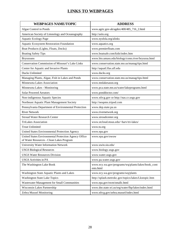# **LINKS TO WEBPAGES**

| <b>WEBPAGES NAME/TOPIC</b>                                                                       | <b>ADDRESS</b>                                                 |
|--------------------------------------------------------------------------------------------------|----------------------------------------------------------------|
| Algae Control in Ponds                                                                           | www.agric.gov-ab/agdex/400/485_716_2.html                      |
| American Society of Limnology and Oceanography                                                   | http://aslo.org                                                |
| <b>Aquatic Ecology Page</b>                                                                      | www.nysfola.org/alinks                                         |
| <b>Aquatic Ecosystem Restoration Foundation</b>                                                  | www.aquatics.org                                               |
| Boat Products (Lights, Floats, Docks)                                                            | www.premierfloats.com                                          |
| <b>Boating Safety Tips</b>                                                                       | www.boatsafe.com/kids/index.htm                                |
| <b>Bryozoans</b>                                                                                 | www.bio.umass.edu/biology/conn.river/bryozoa.html              |
| Conservation Commission of Missouri's Lake Links                                                 | www.conservation.state.mo.us/manag/tips.html                   |
| Center for Aquatic and Invasive Plants                                                           | http://aquatl.lfas.ufl.edu                                     |
| Ducks Unlimited                                                                                  | www.ducks.org                                                  |
| Managing Plants, Algae, Fish in Lakes and Ponds                                                  | www.conservation.state.mo.us/manag/tips-html                   |
| Minnesota Lakes Association                                                                      | www.mnlakesassn.org                                            |
| Minnesota Lakes - Monitoring                                                                     | www.pca.state.mn.us/water/lakeprograms.html                    |
| <b>Solar Powered Aerators</b>                                                                    | www.ponddoctor.com/                                            |
| Non-indigenous Aquatic Species                                                                   | www.nfrcg.gov or http://nas.cr.usgs.gov                        |
| Northeast Aquatic Plant Management Society                                                       | http://neapms.tripod.com                                       |
| Pennsylvania Department of Environmental Protection                                              | www.dep.state.pa.us                                            |
| <b>River Network</b>                                                                             | www.rivernetwork.org                                           |
| <b>Stroud Water Research Center</b>                                                              | www.stroudcenter.org                                           |
| <b>TriLakes Association</b>                                                                      | www.stcloud.msus.edu/~harv/tri-lakes/                          |
| <b>Trout Unlimited</b>                                                                           | www.tu.org                                                     |
| United States Environmental Protection Agency                                                    | www.epa.gov                                                    |
| United States Environmental Protection Agency Office<br>of Water Resources - Clean Lakes Program | www.epa.gov/owow                                               |
| University Water Information Network                                                             | www.uwin.siu.edu/                                              |
| <b>USGS Biological Resources</b>                                                                 | www.biology.usgs.gov                                           |
| <b>USGS Water Resources Division</b>                                                             | www.water.usgs.gov                                             |
| <b>USGS</b> Activities in PA                                                                     | www.pa.water.usgs.gov                                          |
| The Washington Lake Book                                                                         | www.ecy.wa.gov/programs/wq/plants/lakes/book_cont<br>ents.html |
| Washington State Aquatic Plants and Lakes                                                        | www.ecy.wa.gov/programs/wq/plants                              |
| <b>Washington State Lake Topics</b>                                                              | http://splash.metrokc.gov/topics/lakes/Lkstopic.htm            |
| Wastewater Management for Small Communities                                                      | www.epa.gov/owm/smallc.html                                    |
| Wisconsin Lakes Partnership                                                                      | www.dnr.state.wi.us/org/water/fhp/lakes/index.html             |
| Zebra Mussel Monitoring                                                                          | www.nfrcg.gov/zebra.mussel/index.html                          |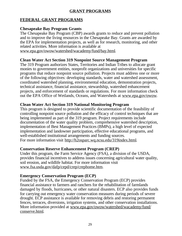# **GRANT PROGRAMS**

# **FEDERAL GRANT PROGRAMS**

# **Chesapeake Bay Program Grants**

The Chesapeake Bay Program (CBP) awards grants to reduce and prevent pollution and to improve the living resources in the Chesapeake Bay. Grants are awarded by the EPA for implementation projects, as well as for research, monitoring, and other related activities. More information is available at www.epa.gov/owow/watershed/wacademy/fund/bay.html.

# **Clean Water Act Section 319 Nonpoint Source Management Program**

The 319 Program authorizes States, Territories and Indian Tribes to allocate grant monies to government entities, nonprofit organizations and universities for specific programs that reduce nonpoint source pollution. Projects must address one or more of the following objectives: developing standards, water and watershed assessment, coordinated watershed planning, environmental education, demonstration projects, technical assistance, financial assistance, stewardship, watershed enhancement projects, and enforcement of standards or regulations. For more information check out the EPA Office of Wetlands, Oceans, and Watersheds at www.epa.gov/owow.

# **Clean Water Act Section 319 National Monitoring Program**

This program is designed to provide scientific documentation of the feasibility of controlling nonpoint source pollution and the efficacy of control techniques that are being implemented as part of the 319 program. Project requirements include documentation of the water quality problem, comprehensive watershed description, implementation of Best Management Practices (BMPs), a high level of expected implementation and landowner participation, effective educational programs, and well-established institutional arrangements and funding sources. For more information visit http://h2osparc.wq.ncsu.edu/319index.html.

# **Conservation Reserve Enhancement Program (CREP)**

Under this program, the Farm Service Agency (FSA), a division of the USDA, provides financial incentives to address issues concerning agricultural water quality, soil erosion, and wildlife habitat. For more information visit www.fsa.usda.gov/dafp/cepd/crep/crephome.htm.

# **Emergency Conservation Program (ECP)**

Funded by the FSA, the Emergency Conservation Program (ECP) provides financial assistance to farmers and ranchers for the rehabilitation of farmlands damaged by floods, hurricanes, or other natural disasters. ECP also provides funds for carrying out emergency water conservation measures during periods of severe drought. ECP assistance is available for removing debris and restoring permanent fences, terraces, diversions, irrigation systems, and other conservation installations. More information provided at www.epa.gov/owow/watershed/wacademy/fund/ conserve.html.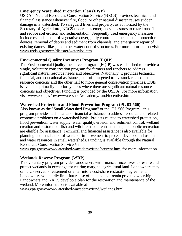# **Emergency Watershed Protection Plan (EWP)**

USDA's Natural Resources Conservation Service (NRCS) provides technical and financial assistance whenever fire, flood, or other natural disaster causes sudden damage in a watershed. To safeguard lives and property, as authorized by the Secretary of Agriculture, NRCS undertakes emergency measures to retard runoff and reduce soil erosion and sedimentation. Frequently used emergency measures include establishment of vegetative cover, gully control and streambank protection devices, removal of debris and sediment from channels, and emergency repair of existing dames, dikes, and other water control structures. For more information visit www.usda.gov/news/disaster/watershd.htm

# **Environmental Quality Incentives Program (EQIP)**

The Environmental Quality Incentives Program (EQIP) was established to provide a single, voluntary conservation program for farmers and ranchers to address significant natural resource needs and objectives. Nationally, it provides technical, financial, and educational assistance, half of it targeted to livestock-related natural resource concerns and the other half to more general conservation priorities. EQIP is available primarily in priority areas where there are significant natural resource concerns and objectives. Funding is provided by the USDA. For more information visit www.epa.gov/owow/watershed/wacademy/fund/incentive.html.

# **Watershed Protection and Flood Prevention Program (PL 83-566)**

Also known as the "Small Watershed Program" or the "PL 566 Program," this program provides technical and financial assistance to address resource and related economic problems on a watershed basis. Projects related to watershed protection, flood prevention, water supply, water quality, erosion and sediment control, wetland creation and restoration, fish and wildlife habitat enhancement, and public recreation are eligible for assistance. Technical and financial assistance is also available for planning and installation of works of improvement to protect, develop, and use land and water resources in small watersheds. Funding is available through the Natural Resources Conservation Service.Visit

www.epa.gov/owow/watershed/wacademy/fund/prevent.html for more information.

# **Wetlands Reserve Program (WRP)**

This voluntary program provides landowners with financial incentives to restore and protect wetlands in exchange for retiring marginal agricultural land. Landowners may sell a conservation easement or enter into a cost-share restoration agreement. Landowners voluntarily limit future use of the land, but retain private ownership. Landowners and NRCS develop a plan for the restoration and maintenance of the wetland. More information is available at

www.epa.gov/owow/watershed/wacademy/fund/wetlands.html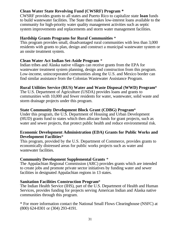# **Clean Water State Revolving Fund (CWSRF) Program \***

CWSRF provides grants to all states and Puerto Rico to capitalize state **loan** funds to build wastewater facilities. The State then makes low-interest loans available to the community for high-priority water quality management activities such as septic system improvements and replacements and storm water management facilities.

# **Hardship Grants Programs for Rural Communities** \*

This program provides small, disadvantaged rural communities with less than 3,000 residents with grants to plan, design and construct a municipal wastewater system or an onsite treatment system.

# **Clean Water Act Indian Set-Aside Program** \*

Indian tribes and Alaska native villages can receive grants from the EPA for wastewater treatment system planning, design and construction from this program. Low-income, unincorporated communities along the U.S. and Mexico border can find similar assistance from the Colonias Wastewater Assistance Program.

# **Rural Utilities Service (RUS) Water and Waste Disposal (WWD) Program**\*

The U.S. Department of Agriculture (USDA) provides loans and grants to communities with 10,000 and fewer residents for water, wastewater, solid waste and storm drainage projects under this program.

# **State Community Development Block Grant (CDBG) Program**\*

Under this program, the U.S. Department of Housing and Urban Development (HUD) grants fund to states which then allocate funds for grant projects, such as water and sewer projects, that protect public health and reduce environmental risk.

#### **Economic Development Administration (EDA) Grants for Public Works and Development Facilities**\*

This program, provided by the U.S. Department of Commerce, provides grants to economically distressed areas for public works projects such as water and wastewater facilities.

# **Community Development Supplemental Grants** \*

The Appalachian Regional Commission (ARC) provides grants which are intended to create jobs and promote private sector initiatives by funding water and sewer facilities in designated Appalachian regions in 13 states.

# **Sanitation Facilities Construction Program**\*

The Indian Health Service (IHS), part of the U.S. Department of Health and Human Services, provides funding for projects serving American Indian and Alaska native communities through this program.

\* For more information contact the National Small Flows Clearinghouse (NSFC) at (800) 624-8301 or (304) 293-4191.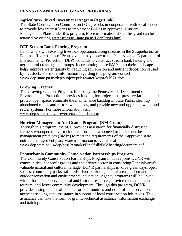# **PENNSYLVANIA STATE GRANT PROGRAMS**

# **Agriculture-Linked Investment Program (AgriLink)**

The State Conservation Commission (SCC) works in cooperation with local lenders to provide low interest loans to implement BMP's in approved Nutrient Management Plans under this program. More information about this grant can be attained by visiting www.treasury.state.pa.us/LoanProgs.html.

# **DEP Stream Bank Fencing Program**

Landowners with existing livestock operations along streams in the Susquehanna or Potomac River basins of Pennsylvania may apply to the Pennsylvania Department of Environmental Protection (DEP) for funds to construct stream bank fencing and agricultural crossings and ramps. Incorporating these BMPs into their landscape helps improve water quality by reducing soil erosion and nutrient deposition caused by livestock. For more information regarding this program contact www.dep.state.pa.us/dep/subject/pubs/water/wqm/fs1971.doc.

# **Growing Greener**

The Growing Greener Program, funded by the Pennsylvania Department of Environmental Protection, provides funding for projects that preserve farmland and protect open space, eliminate the maintenance backlog in State Parks, clean up abandoned mines and restore watersheds, and provide new and upgraded water and sewer systems. For more information visit

www.dep.state.pa.us/growgreen/defaultdep.htm.

# **Nutrient Management Act Grants Program (NM Grant)**

Through this program, the SCC provides assistance for financially distressed farmers who operate livestock operations, and who need to implement best management practices (BMPs) to meet the requirements of their approved state nutrient management plan. More information is available at www.dep.state.pa.us/dep/hess/remarks/FinalfullNMAhearingdocument.pdf.

# **Pennsylvania Community Conservation Partnerships Program**

The Community Conservation Partnerships Program initiative joins DCNR with communities, nonprofit groups and the private sector in conserving Pennsylvania's valuable natural and cultural heritage. DCNR partnerships involve greenways, open spaces, community parks, rail trails, river corridors, natural areas, indoor and outdoor recreation and environmental education. Agency programs will be linked with efforts to conserve natural and historic resources, provide recreation, enhance tourism, and foster community development. Through this program, DCNR provides a single point of contact for communities and nonprofit conservation agencies seeking state assistance in support of local conservation initiatives. This assistance can take the form of grants, technical assistance, information exchange and training.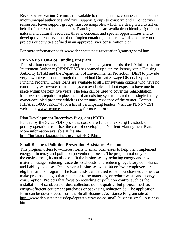**River Conservation Grants** are available to municipalities, counties, municipal and intermunicipal authorities, and river support groups to conserve and enhance river resources. River support groups must be nonprofits which are designated to act on behalf of interested municipalities. Planning grants are available to identify significant natural and cultural resources, threats, concerns and special opportunities and to develop river conservation plans. Implementation grants are available to carry out projects or activities defined in an approved river conservation plan.

For more information visit www.dcnr.state.pa.us/recreation/grants/general.htm.

# **PENNVEST On-Lot Funding Program**

To assist homeowners in addressing their septic system needs, the PA Infrastructure Investment Authority (PENNVEST) has teamed up with the Pennsylvania Housing Authority (PHA) and the Department of Environmental Protection (DEP) to provide very low interest loans through the Individual On-Lot Sewage Disposal System Funding Program. These loans are available to all Pennsylvania citizens who have no community wastewater treatment system available and dont expect to have one in place within the next five years. The loan can be used to cover the rehabilitation, improvement, repair or replacement of an existing system located on a single family, owner-occupied property which is the primary residence of the owner. Contact PHFA at 1-800-822-1174 for a list of participating lenders. Visit the PENNVEST website at www.pennvest.state.pa.us/ for more information.

# **Plan Development Incentives Program (PDIP)**

Funded by the SCC, PDIP provides cost share funds to existing livestock or poultry operations to offset the cost of developing a Nutrient Management Plan. More information available at the site

http://juniataccd.pa.nacdnet.org/dstaff/PDIP.htm.

# **Small Business Pollution Prevention Assistance Account**

This program offers low-interest loans to small businesses to help them implement energy-efficiency and pollution prevention projects. The program not only benefits the environment, it can also benefit the businesses by reducing energy and raw materials usage, reducing waste disposal costs, and reducing regulatory compliance and liability expenses. Pennsylvania businesses with 100 or fewer employees are eligible for this program. The loan funds can be used to help purchase equipment or make process changes that reduce or reuse materials, or reduce waste and energy consumption. Projects that focus on recycling or pollution control such as the installation of scrubbers or dust collectors do not qualify, but projects such as energy-efficient equipment purchases or packaging reduction do. The application form can be downloaded from the Small Business Assistance Program site at http://www.dep.state.pa.us/dep/deputate/airwaste/aq/small\_business/small\_business. htm.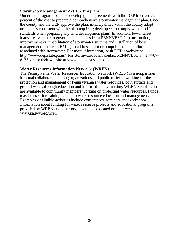# **Stormwater Management Act 167 Program**

Under this program, counties develop grant agreements with the DEP to cover 75 percent of the cost to prepare a comprehensive stormwater management plan. Once the county and the DEP approve the plan, municipalities within the county adopt ordinances consistent with the plan requiring developers to comply with specific standards when preparing any land development plans. In addition, low-interest loans are available to government agencies from PENNVEST for construction, improvement or rehabilitation of stormwater systems and installation of best management practices (BMPs) to address point or nonpoint source pollution associated with stormwater. For more information, visit DEP's website at http://www.dep.state.pa.us/. For stormwater loans contact PENNVEST at 717-787-8137, or see their website at www.pennvest.state.pa.us.

### **Water Resources Information Network (WREN)**

The Pennsylvania Water Resources Education Network (WREN) is a nonpartisan informal collaboration among organizations and public officials working for the protection and management of Pennsylvania's water resources, both surface and ground water, through education and informed policy making. WREN Scholarships are available to community members working on protecting water resources. Funds may be used for training related to water resource education and management. Examples of eligible activities include conferences, seminars and workshops. Information about funding for water resource projects and educational programs provided by WREN and other organizations is located on their website www.pa.lwv.org/wren.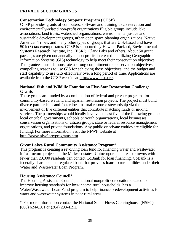# **PRIVATE SECTOR GRANTS**

# **Conservation Technology Support Program (CTSP)**

CTSP provides grants of computers, software and training to conservation and environmentally-related non-profit organizations Eligible groups include lake associations, land trusts, watershed organizations, environmental justice and sustainable development groups, urban open space planning organizations, Native American Tribes, and many other types of groups that are U.S.-based and have 501c(3) tax exempt status. CTSP is supported by Hewlett Packard, Environmental Systems Research Institute, Inc. (ESRI), Clark Labs and others. About 50 grant packages are given out annually to non-profits interested in utilizing Geographic Information Systems (GIS) technology to help meet their conservation objectives. The grantees must demonstrate a strong commitment to conservation objectives, compelling reasons to use GIS for achieving those objectives, and the budget and staff capability to use GIS effectively over a long period of time. Applications are available from the CTSP website at http://www.ctsp.org.

### **National Fish and Wildlife Foundation Five-Star Restoration Challenge Grants**

These grants are funded by a combination of federal and private programs for community-based wetland and riparian restoration projects. The project must build diverse partnerships and foster local natural resource stewardship via the involvement of five different entities that contribute matching funds or in-kind services. The partnerships would ideally involve at least five of the following groups: local or tribal governments, schools or youth organizations, local businesses, conservation organizations or citizen groups, state or federal resource management organizations, and private foundations. Any public or private entities are eligible for funding. For more information, visit the NFWF website at http://www.nfwf.org/programs.htm

### **Great Lakes Rural Community Assistance Program**\*

This program is creating a revolving loan fund for financing water and wastewater infrastructure projects in the Midwest states. Unincorporated areas or towns with fewer than 20,000 residents can contact CoBank for loan financing. CoBank is a federally chartered and regulated bank that provides loans to rural utilities under their Water and Wastewater Loan Program.

### **Housing Assistance Council**\*

The Housing Assistance Council, a national nonprofit corporation created to improve housing standards for low-income rural households, has a Water/Wastewater Loan Fund program to help finance predevelopment activities for water and wastewater systems in poor rural areas.

\* For more information contact the National Small Flows Clearinghouse (NSFC) at (800) 624-8301 or (304) 293-4191.